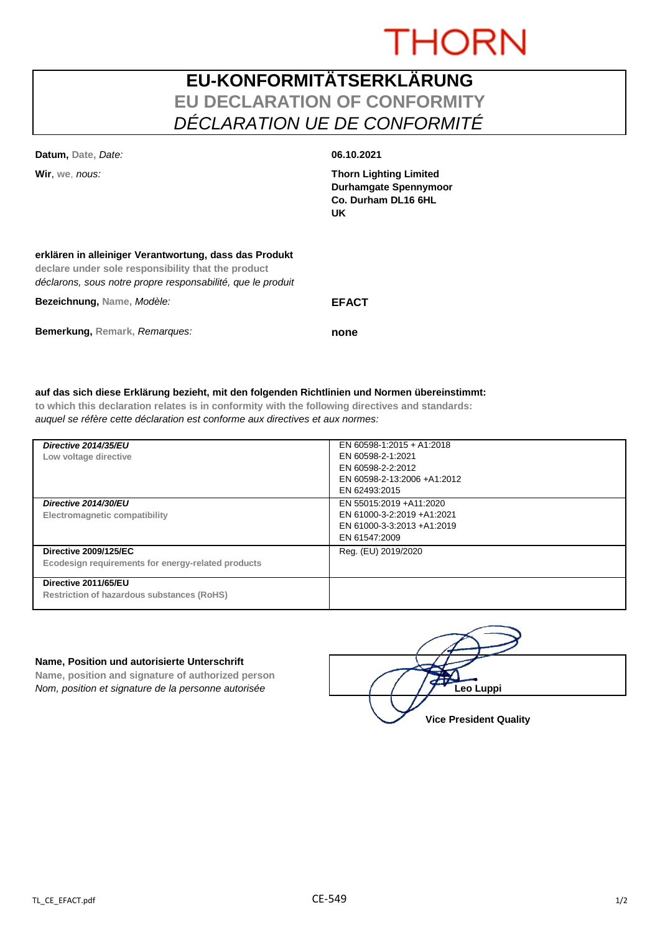# **THORN**

## **EU-KONFORMITÄTSERKLÄRUNG EU DECLARATION OF CONFORMITY** *DÉCLARATION UE DE CONFORMITÉ*

| Datum, Date, Date:                                                                                           | 06.10.2021                                                                                  |
|--------------------------------------------------------------------------------------------------------------|---------------------------------------------------------------------------------------------|
| Wir, we, nous:                                                                                               | <b>Thorn Lighting Limited</b><br><b>Durhamgate Spennymoor</b><br>Co. Durham DL16 6HL<br>UK. |
| erklären in alleiniger Verantwortung, dass das Produkt<br>declare under sole responsibility that the product |                                                                                             |

| déclarons, sous notre propre responsabilité, que le produit |              |
|-------------------------------------------------------------|--------------|
| Bezeichnung, Name, Modèle:                                  | <b>EFACT</b> |
| Bemerkung, Remark, Remargues:                               | none         |

#### **auf das sich diese Erklärung bezieht, mit den folgenden Richtlinien und Normen übereinstimmt:**

**to which this declaration relates is in conformity with the following directives and standards:** *auquel se réfère cette déclaration est conforme aux directives et aux normes:*

| Directive 2014/35/EU<br>Low voltage directive                                      | EN 60598-1:2015 + A1:2018<br>EN 60598-2-1:2021<br>EN 60598-2-2:2012<br>EN 60598-2-13:2006 +A1:2012<br>EN 62493:2015 |
|------------------------------------------------------------------------------------|---------------------------------------------------------------------------------------------------------------------|
| Directive 2014/30/EU<br>Electromagnetic compatibility                              | EN 55015:2019 +A11:2020<br>EN 61000-3-2:2019 +A1:2021<br>EN 61000-3-3:2013 +A1:2019<br>EN 61547:2009                |
| <b>Directive 2009/125/EC</b><br>Ecodesign requirements for energy-related products | Reg. (EU) 2019/2020                                                                                                 |
| Directive 2011/65/EU<br>Restriction of hazardous substances (RoHS)                 |                                                                                                                     |

#### **Name, Position und autorisierte Unterschrift**

**Name, position and signature of authorized person** *Nom, position et signature de la personne autorisée* 

| Leo Luppi                     |
|-------------------------------|
| <b>Vice President Quality</b> |